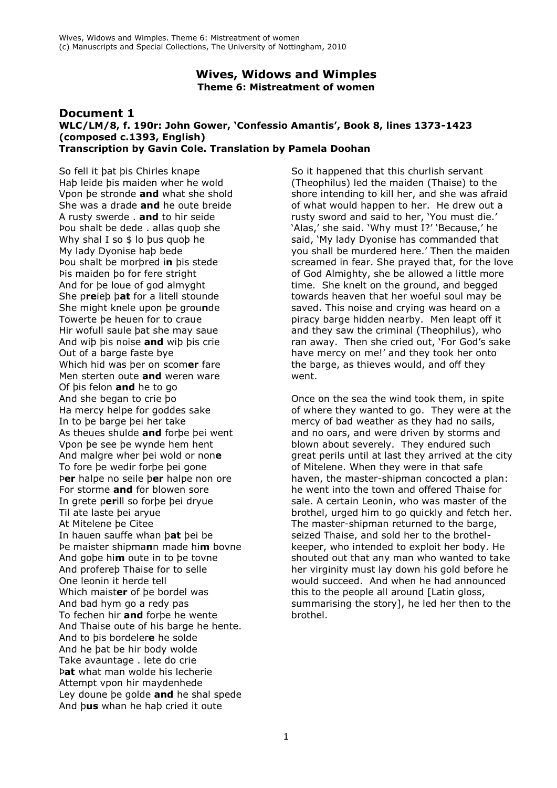## **Wives, Widows and Wimples Theme 6: Mistreatment of women**

#### **Document 1 WLC/LM/8, f. 190r: John Gower, 'Confessio Amantis', Book 8, lines 1373-1423 (composed c.1393, English) Transcription by Gavin Cole. Translation by Pamela Doohan**

So fell it þat þis Chirles knape Haþ leide þis maiden wher he wold Vpon þe stronde **and** what she shold She was a drade **and** he oute breide A rusty swerde . **and** to hir seide Þou shalt be dede . allas quoþ she Why shal I so \$ lo þus quoþ he My lady Dyonise haþ bede Þou shalt be morþred i**n** þis stede Þis maiden þo for fere stright And for þe loue of god almyght She p**re**ieþ þ**at** for a litell stounde She might knele upon þe grou**n**de Towerte þe heuen for to craue Hir wofull saule þat she may saue And wiþ þis noise **and** wiþ þis crie Out of a barge faste bye Which hid was þer on scom**er** fare Men sterten oute **and** weren ware Of þis felon **and** he to go And she began to crie þo Ha mercy helpe for goddes sake In to þe barge þei her take As theues shulde **and** forþe þei went Vpon þe see þe wynde hem hent And malgre wher þei wold or non**e** To fore þe wedir forþe þei gone Þ**er** halpe no seile þ**er** halpe non ore For storme **and** for blowen sore In grete p**er**ill so forþe þei dryue Til ate laste þei aryue At Mitelene þe Citee In hauen sauffe whan þ**at** þei be Þe maister shipma**n**n made hi**m** bovne And goþe hi**m** oute in to þe tovne And profereþ Thaise for to selle One leonin it herde tell Which maist**er** of þe bordel was And bad hym go a redy pas To fechen hir **and** forþe he wente And Thaise oute of his barge he hente. And to þis bordeler**e** he solde And he þat be hir body wolde Take avauntage . lete do crie Þ**at** what man wolde his lecherie Attempt vpon hir maydenhede Ley doune þe golde **and** he shal spede And þ**us** whan he haþ cried it oute

So it happened that this churlish servant (Theophilus) led the maiden (Thaise) to the shore intending to kill her, and she was afraid of what would happen to her. He drew out a rusty sword and said to her, 'You must die.' 'Alas,' she said. 'Why must I?' 'Because,' he said, 'My lady Dyonise has commanded that you shall be murdered here.' Then the maiden screamed in fear. She prayed that, for the love of God Almighty, she be allowed a little more time. She knelt on the ground, and begged towards heaven that her woeful soul may be saved. This noise and crying was heard on a piracy barge hidden nearby. Men leapt off it and they saw the criminal (Theophilus), who ran away. Then she cried out, 'For God's sake have mercy on me!' and they took her onto the barge, as thieves would, and off they went.

Once on the sea the wind took them, in spite of where they wanted to go. They were at the mercy of bad weather as they had no sails, and no oars, and were driven by storms and blown about severely. They endured such great perils until at last they arrived at the city of Mitelene. When they were in that safe haven, the master-shipman concocted a plan: he went into the town and offered Thaise for sale. A certain Leonin, who was master of the brothel, urged him to go quickly and fetch her. The master-shipman returned to the barge, seized Thaise, and sold her to the brothelkeeper, who intended to exploit her body. He shouted out that any man who wanted to take her virginity must lay down his gold before he would succeed. And when he had announced this to the people all around [Latin gloss, summarising the story], he led her then to the brothel.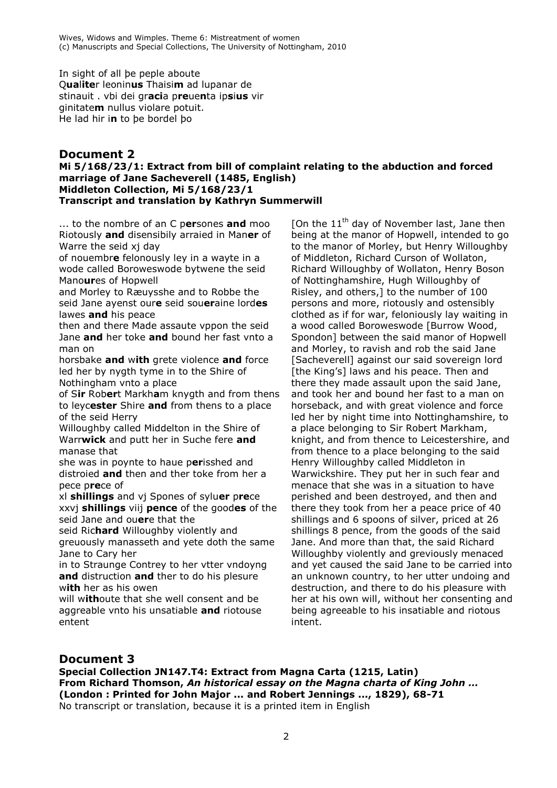In sight of all þe peple aboute Q**ua**l**ite**r leonin**us** Thaisi**m** ad lupanar de stinauit . vbi dei gr**aci**a p**re**ue**n**ta ip**s**i**us** vir ginitate**m** nullus violare potuit. He lad hir i**n** to þe bordel þo

# **Document 2**

### **Mi 5/168/23/1: Extract from bill of complaint relating to the abduction and forced marriage of Jane Sacheverell (1485, English) Middleton Collection, Mi 5/168/23/1 Transcript and translation by Kathryn Summerwill**

... to the nombre of an C p**er**sones **and** moo Riotously **and** disensibily arraied in Man**er** of Warre the seid xj day

of nouembr**e** felonously ley in a wayte in a wode called Boroweswode bytwene the seid Mano**ur**es of Hopwell

and Morley to Ræuysshe and to Robbe the seid Jane ayenst our**e** seid sou**er**aine lord**es** lawes **and** his peace

then and there Made assaute vppon the seid Jane **and** her toke **and** bound her fast vnto a man on

horsbake **and** w**ith** grete violence **and** force led her by nygth tyme in to the Shire of Nothingham vnto a place

of S**ir** Rob**er**t Markh**a**m knygth and from thens to leyc**ester** Shire **and** from thens to a place of the seid Herry

Willoughby called Middelton in the Shire of Warr**wick** and putt her in Suche fere **and** manase that

she was in poynte to haue p**er**isshed and distroied **and** then and ther toke from her a pece p**re**ce of

xl **shillings** and vj Spones of sylu**er** p**re**ce xxvj **shillings** viij **pence** of the good**es** of the seid Jane and ou**er**e that the

seid Ric**hard** Willoughby violently and greuously manasseth and yete doth the same Jane to Cary her

in to Straunge Contrey to her vtter vndoyng **and** distruction **and** ther to do his plesure w**ith** her as his owen

will w**ith**oute that she well consent and be aggreable vnto his unsatiable **and** riotouse entent

[On the  $11<sup>th</sup>$  day of November last, Jane then being at the manor of Hopwell, intended to go to the manor of Morley, but Henry Willoughby of Middleton, Richard Curson of Wollaton, Richard Willoughby of Wollaton, Henry Boson of Nottinghamshire, Hugh Willoughby of Risley, and others,] to the number of 100 persons and more, riotously and ostensibly clothed as if for war, feloniously lay waiting in a wood called Boroweswode [Burrow Wood, Spondon] between the said manor of Hopwell and Morley, to ravish and rob the said Jane [Sacheverell] against our said sovereign lord [the King's] laws and his peace. Then and there they made assault upon the said Jane, and took her and bound her fast to a man on horseback, and with great violence and force led her by night time into Nottinghamshire, to a place belonging to Sir Robert Markham, knight, and from thence to Leicestershire, and from thence to a place belonging to the said Henry Willoughby called Middleton in Warwickshire. They put her in such fear and menace that she was in a situation to have perished and been destroyed, and then and there they took from her a peace price of 40 shillings and 6 spoons of silver, priced at 26 shillings 8 pence, from the goods of the said Jane. And more than that, the said Richard Willoughby violently and greviously menaced and yet caused the said Jane to be carried into an unknown country, to her utter undoing and destruction, and there to do his pleasure with her at his own will, without her consenting and being agreeable to his insatiable and riotous intent.

# **Document 3**

**Special Collection JN147.T4: Extract from Magna Carta (1215, Latin) From Richard Thomson,** *An historical essay on the Magna charta of King John …* **(London : Printed for John Major ... and Robert Jennings ..., 1829), 68-71** No transcript or translation, because it is a printed item in English